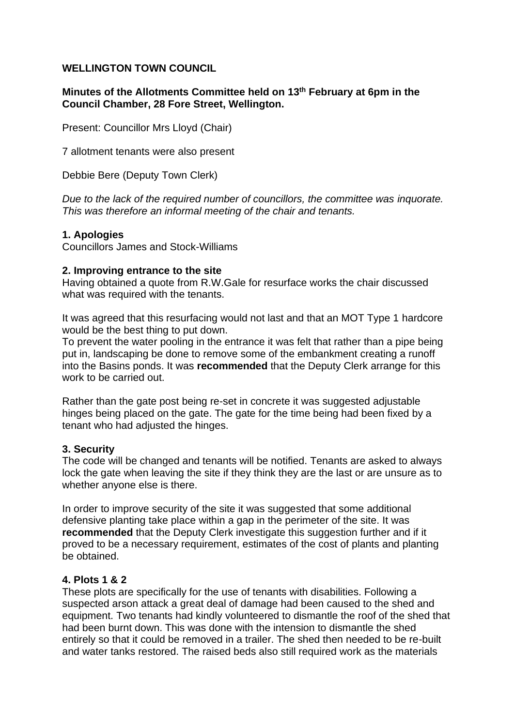# **WELLINGTON TOWN COUNCIL**

# **Minutes of the Allotments Committee held on 13th February at 6pm in the Council Chamber, 28 Fore Street, Wellington.**

Present: Councillor Mrs Lloyd (Chair)

7 allotment tenants were also present

Debbie Bere (Deputy Town Clerk)

*Due to the lack of the required number of councillors, the committee was inquorate. This was therefore an informal meeting of the chair and tenants.* 

### **1. Apologies**

Councillors James and Stock-Williams

#### **2. Improving entrance to the site**

Having obtained a quote from R.W.Gale for resurface works the chair discussed what was required with the tenants.

It was agreed that this resurfacing would not last and that an MOT Type 1 hardcore would be the best thing to put down.

To prevent the water pooling in the entrance it was felt that rather than a pipe being put in, landscaping be done to remove some of the embankment creating a runoff into the Basins ponds. It was **recommended** that the Deputy Clerk arrange for this work to be carried out.

Rather than the gate post being re-set in concrete it was suggested adjustable hinges being placed on the gate. The gate for the time being had been fixed by a tenant who had adjusted the hinges.

### **3. Security**

The code will be changed and tenants will be notified. Tenants are asked to always lock the gate when leaving the site if they think they are the last or are unsure as to whether anyone else is there.

In order to improve security of the site it was suggested that some additional defensive planting take place within a gap in the perimeter of the site. It was **recommended** that the Deputy Clerk investigate this suggestion further and if it proved to be a necessary requirement, estimates of the cost of plants and planting be obtained.

# **4. Plots 1 & 2**

These plots are specifically for the use of tenants with disabilities. Following a suspected arson attack a great deal of damage had been caused to the shed and equipment. Two tenants had kindly volunteered to dismantle the roof of the shed that had been burnt down. This was done with the intension to dismantle the shed entirely so that it could be removed in a trailer. The shed then needed to be re-built and water tanks restored. The raised beds also still required work as the materials